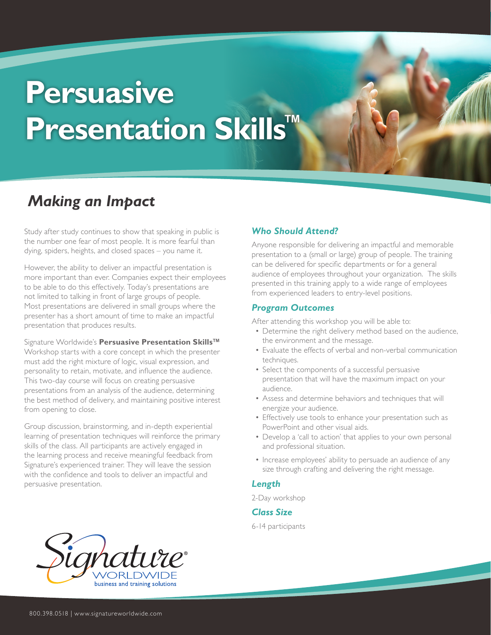# **Persuasive Presentation Skills™**

# *Making an Impact*

Study after study continues to show that speaking in public is the number one fear of most people. It is more fearful than dying, spiders, heights, and closed spaces – you name it.

However, the ability to deliver an impactful presentation is more important than ever. Companies expect their employees to be able to do this effectively. Today's presentations are not limited to talking in front of large groups of people. Most presentations are delivered in small groups where the presenter has a short amount of time to make an impactful presentation that produces results.

Signature Worldwide's **Persuasive Presentation Skills™** Workshop starts with a core concept in which the presenter must add the right mixture of logic, visual expression, and personality to retain, motivate, and influence the audience. This two-day course will focus on creating persuasive presentations from an analysis of the audience, determining the best method of delivery, and maintaining positive interest from opening to close.

Group discussion, brainstorming, and in-depth experiential learning of presentation techniques will reinforce the primary skills of the class. All participants are actively engaged in the learning process and receive meaningful feedback from Signature's experienced trainer. They will leave the session with the confidence and tools to deliver an impactful and persuasive presentation.

# *Who Should Attend?*

Anyone responsible for delivering an impactful and memorable presentation to a (small or large) group of people. The training can be delivered for specific departments or for a general audience of employees throughout your organization. The skills presented in this training apply to a wide range of employees from experienced leaders to entry-level positions.

#### *Program Outcomes*

After attending this workshop you will be able to:

- Determine the right delivery method based on the audience, the environment and the message.
- Evaluate the effects of verbal and non-verbal communication techniques.
- Select the components of a successful persuasive presentation that will have the maximum impact on your audience.
- Assess and determine behaviors and techniques that will energize your audience.
- Effectively use tools to enhance your presentation such as PowerPoint and other visual aids.
- Develop a 'call to action' that applies to your own personal and professional situation.
- Increase employees' ability to persuade an audience of any size through crafting and delivering the right message.

#### *Length*

2-Day workshop

#### *Class Size*

6-14 participants